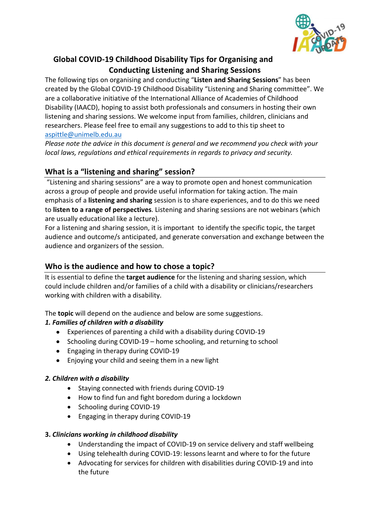

# **Global COVID-19 Childhood Disability Tips for Organising and Conducting Listening and Sharing Sessions**

The following tips on organising and conducting "**Listen and Sharing Sessions**" has been created by the Global COVID-19 Childhood Disability "Listening and Sharing committee". We are a collaborative initiative of the International Alliance of Academies of Childhood Disability (IAACD), hoping to assist both professionals and consumers in hosting their own listening and sharing sessions. We welcome input from families, children, clinicians and researchers. Please feel free to email any suggestions to add to this tip sheet to aspittle@unimelb.edu.au

*Please note the advice in this document is general and we recommend you check with your local laws, regulations and ethical requirements in regards to privacy and security.*

# **What is a "listening and sharing" session?**

"Listening and sharing sessions" are a way to promote open and honest communication across a group of people and provide useful information for taking action. The main emphasis of a **listening and sharing** session is to share experiences, and to do this we need to **listen to a range of perspectives**. Listening and sharing sessions are not webinars (which are usually educational like a lecture).

For a listening and sharing session, it is important to identify the specific topic, the target audience and outcome/s anticipated, and generate conversation and exchange between the audience and organizers of the session.

# **Who is the audience and how to chose a topic?**

It is essential to define the **target audience** for the listening and sharing session, which could include children and/or families of a child with a disability or clinicians/researchers working with children with a disability.

The **topic** will depend on the audience and below are some suggestions.

# *1. Families of children with a disability*

- Experiences of parenting a child with a disability during COVID-19
- Schooling during COVID-19 home schooling, and returning to school
- Engaging in therapy during COVID-19
- Enjoying your child and seeing them in a new light

## *2. Children with a disability*

- Staying connected with friends during COVID-19
- How to find fun and fight boredom during a lockdown
- Schooling during COVID-19
- Engaging in therapy during COVID-19

## **3.** *Clinicians working in childhood disability*

- Understanding the impact of COVID-19 on service delivery and staff wellbeing
- Using telehealth during COVID-19: lessons learnt and where to for the future
- Advocating for services for children with disabilities during COVID-19 and into the future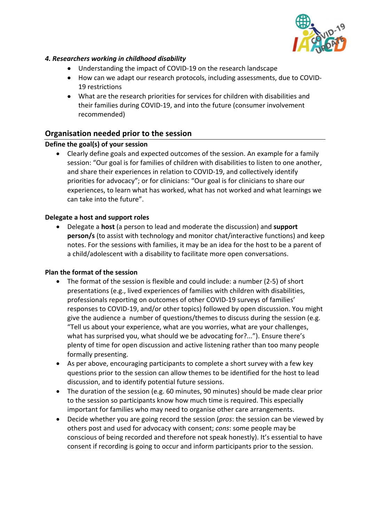

## *4. Researchers working in childhood disability*

- Understanding the impact of COVID-19 on the research landscape
- How can we adapt our research protocols, including assessments, due to COVID-19 restrictions
- What are the research priorities for services for children with disabilities and their families during COVID-19, and into the future (consumer involvement recommended)

# **Organisation needed prior to the session**

## **Define the goal(s) of your session**

• Clearly define goals and expected outcomes of the session. An example for a family session: "Our goal is for families of children with disabilities to listen to one another, and share their experiences in relation to COVID-19, and collectively identify priorities for advocacy"; or for clinicians: "Our goal is for clinicians to share our experiences, to learn what has worked, what has not worked and what learnings we can take into the future".

#### **Delegate a host and support roles**

• Delegate a **host** (a person to lead and moderate the discussion) and **support person/s** (to assist with technology and monitor chat/interactive functions) and keep notes. For the sessions with families, it may be an idea for the host to be a parent of a child/adolescent with a disability to facilitate more open conversations.

#### **Plan the format of the session**

- The format of the session is flexible and could include: a number (2-5) of short presentations (e.g., lived experiences of families with children with disabilities, professionals reporting on outcomes of other COVID-19 surveys of families' responses to COVID-19, and/or other topics) followed by open discussion. You might give the audience a number of questions/themes to discuss during the session (e.g. "Tell us about your experience, what are you worries, what are your challenges, what has surprised you, what should we be advocating for?..."). Ensure there's plenty of time for open discussion and active listening rather than too many people formally presenting.
- As per above, encouraging participants to complete a short survey with a few key questions prior to the session can allow themes to be identified for the host to lead discussion, and to identify potential future sessions.
- The duration of the session (e.g. 60 minutes, 90 minutes) should be made clear prior to the session so participants know how much time is required. This especially important for families who may need to organise other care arrangements.
- Decide whether you are going record the session (*pros*: the session can be viewed by others post and used for advocacy with consent; *cons*: some people may be conscious of being recorded and therefore not speak honestly). It's essential to have consent if recording is going to occur and inform participants prior to the session.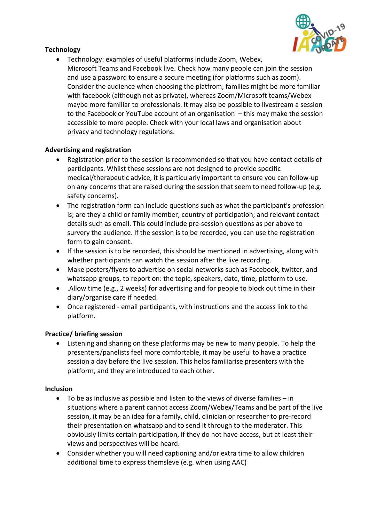

# **Technology**

• Technology: examples of useful platforms include Zoom, Webex, Microsoft Teams and Facebook live. Check how many people can join the session and use a password to ensure a secure meeting (for platforms such as zoom). Consider the audience when choosing the platfrom, families might be more familiar with facebook (although not as private), whereas Zoom/Microsoft teams/Webex maybe more familiar to professionals. It may also be possible to livestream a session to the Facebook or YouTube account of an organisation – this may make the session accessible to more people. Check with your local laws and organisation about privacy and technology regulations.

## **Advertising and registration**

- Registration prior to the session is recommended so that you have contact details of participants. Whilst these sessions are not designed to provide specific medical/therapeutic advice, it is particularly important to ensure you can follow-up on any concerns that are raised during the session that seem to need follow-up (e.g. safety concerns).
- The registration form can include questions such as what the participant's profession is; are they a child or family member; country of participation; and relevant contact details such as email. This could include pre-session questions as per above to survery the audience. If the session is to be recorded, you can use the registration form to gain consent.
- If the session is to be recorded, this should be mentioned in advertising, along with whether participants can watch the session after the live recording.
- Make posters/flyers to advertise on social networks such as Facebook, twitter, and whatsapp groups, to report on: the topic, speakers, date, time, platform to use.
- .Allow time (e.g., 2 weeks) for advertising and for people to block out time in their diary/organise care if needed.
- Once registered email participants, with instructions and the access link to the platform.

#### **Practice/ briefing session**

• Listening and sharing on these platforms may be new to many people. To help the presenters/panelists feel more comfortable, it may be useful to have a practice session a day before the live session. This helps familiarise presenters with the platform, and they are introduced to each other.

#### **Inclusion**

- To be as inclusive as possible and listen to the views of diverse families in situations where a parent cannot access Zoom/Webex/Teams and be part of the live session, it may be an idea for a family, child, clinician or researcher to pre-record their presentation on whatsapp and to send it through to the moderator. This obviously limits certain participation, if they do not have access, but at least their views and perspectives will be heard.
- Consider whether you will need captioning and/or extra time to allow children additional time to express themsleve (e.g. when using AAC)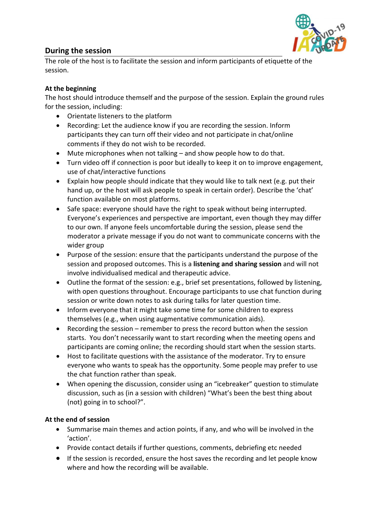

# **During the session**

The role of the host is to facilitate the session and inform participants of etiquette of the session.

# **At the beginning**

The host should introduce themself and the purpose of the session. Explain the ground rules for the session, including:

- Orientate listeners to the platform
- Recording: Let the audience know if you are recording the session. Inform participants they can turn off their video and not participate in chat/online comments if they do not wish to be recorded.
- Mute microphones when not talking and show people how to do that.
- Turn video off if connection is poor but ideally to keep it on to improve engagement, use of chat/interactive functions
- Explain how people should indicate that they would like to talk next (e.g. put their hand up, or the host will ask people to speak in certain order). Describe the 'chat' function available on most platforms.
- Safe space: everyone should have the right to speak without being interrupted. Everyone's experiences and perspective are important, even though they may differ to our own. If anyone feels uncomfortable during the session, please send the moderator a private message if you do not want to communicate concerns with the wider group
- Purpose of the session: ensure that the participants understand the purpose of the session and proposed outcomes. This is a **listening and sharing session** and will not involve individualised medical and therapeutic advice.
- Outline the format of the session: e.g., brief set presentations, followed by listening, with open questions throughout. Encourage participants to use chat function during session or write down notes to ask during talks for later question time.
- Inform everyone that it might take some time for some children to express themselves (e.g., when using augmentative communication aids).
- Recording the session remember to press the record button when the session starts. You don't necessarily want to start recording when the meeting opens and participants are coming online; the recording should start when the session starts.
- Host to facilitate questions with the assistance of the moderator. Try to ensure everyone who wants to speak has the opportunity. Some people may prefer to use the chat function rather than speak.
- When opening the discussion, consider using an "icebreaker" question to stimulate discussion, such as (in a session with children) "What's been the best thing about (not) going in to school?".

## **At the end of session**

- Summarise main themes and action points, if any, and who will be involved in the 'action'.
- Provide contact details if further questions, comments, debriefing etc needed
- If the session is recorded, ensure the host saves the recording and let people know where and how the recording will be available.